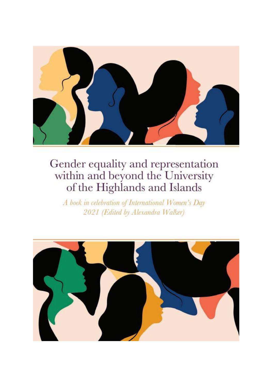

A book in celebration of International Women's Day 2021 (Edited by Alexandra Walker)

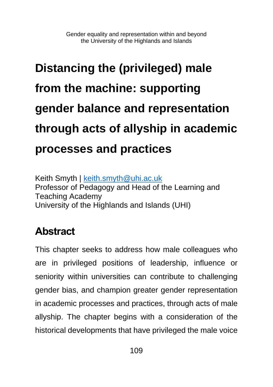# **Distancing the (privileged) male from the machine: supporting gender balance and representation through acts of allyship in academic processes and practices**

Keith Smyth | [keith.smyth@uhi.ac.uk](mailto:keith.smyth@uhi.ac.uk) Professor of Pedagogy and Head of the Learning and Teaching Academy University of the Highlands and Islands (UHI)

# **Abstract**

This chapter seeks to address how male colleagues who are in privileged positions of leadership, influence or seniority within universities can contribute to challenging gender bias, and champion greater gender representation in academic processes and practices, through acts of male allyship. The chapter begins with a consideration of the historical developments that have privileged the male voice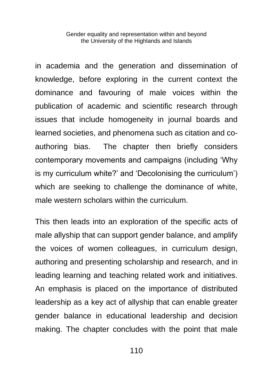in academia and the generation and dissemination of knowledge, before exploring in the current context the dominance and favouring of male voices within the publication of academic and scientific research through issues that include homogeneity in journal boards and learned societies, and phenomena such as citation and coauthoring bias. The chapter then briefly considers contemporary movements and campaigns (including 'Why is my curriculum white?' and 'Decolonising the curriculum') which are seeking to challenge the dominance of white, male western scholars within the curriculum.

This then leads into an exploration of the specific acts of male allyship that can support gender balance, and amplify the voices of women colleagues, in curriculum design, authoring and presenting scholarship and research, and in leading learning and teaching related work and initiatives. An emphasis is placed on the importance of distributed leadership as a key act of allyship that can enable greater gender balance in educational leadership and decision making. The chapter concludes with the point that male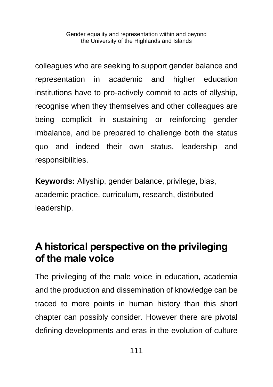colleagues who are seeking to support gender balance and representation in academic and higher education institutions have to pro-actively commit to acts of allyship, recognise when they themselves and other colleagues are being complicit in sustaining or reinforcing gender imbalance, and be prepared to challenge both the status quo and indeed their own status, leadership and responsibilities.

**Keywords:** Allyship, gender balance, privilege, bias, academic practice, curriculum, research, distributed leadership.

#### **A historical perspective on the privileging of the male voice**

The privileging of the male voice in education, academia and the production and dissemination of knowledge can be traced to more points in human history than this short chapter can possibly consider. However there are pivotal defining developments and eras in the evolution of culture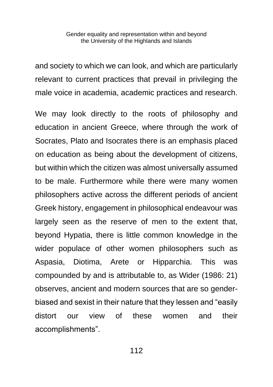and society to which we can look, and which are particularly relevant to current practices that prevail in privileging the male voice in academia, academic practices and research.

We may look directly to the roots of philosophy and education in ancient Greece, where through the work of Socrates, Plato and Isocrates there is an emphasis placed on education as being about the development of citizens, but within which the citizen was almost universally assumed to be male. Furthermore while there were many women philosophers active across the different periods of ancient Greek history, engagement in philosophical endeavour was largely seen as the reserve of men to the extent that, beyond Hypatia, there is little common knowledge in the wider populace of other women philosophers such as Aspasia, Diotima, Arete or Hipparchia. This was compounded by and is attributable to, as Wider (1986: 21) observes, ancient and modern sources that are so genderbiased and sexist in their nature that they lessen and "easily distort our view of these women and their accomplishments".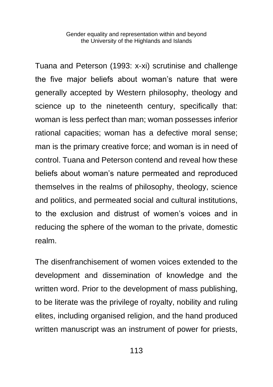Tuana and Peterson (1993: x-xi) scrutinise and challenge the five major beliefs about woman's nature that were generally accepted by Western philosophy, theology and science up to the nineteenth century, specifically that: woman is less perfect than man; woman possesses inferior rational capacities; woman has a defective moral sense; man is the primary creative force; and woman is in need of control. Tuana and Peterson contend and reveal how these beliefs about woman's nature permeated and reproduced themselves in the realms of philosophy, theology, science and politics, and permeated social and cultural institutions, to the exclusion and distrust of women's voices and in reducing the sphere of the woman to the private, domestic realm.

The disenfranchisement of women voices extended to the development and dissemination of knowledge and the written word. Prior to the development of mass publishing, to be literate was the privilege of royalty, nobility and ruling elites, including organised religion, and the hand produced written manuscript was an instrument of power for priests,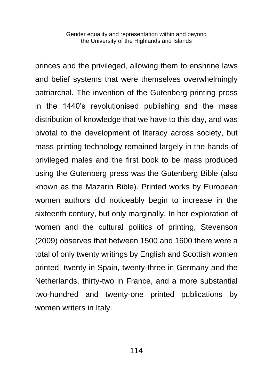princes and the privileged, allowing them to enshrine laws and belief systems that were themselves overwhelmingly patriarchal. The invention of the Gutenberg printing press in the 1440's revolutionised publishing and the mass distribution of knowledge that we have to this day, and was pivotal to the development of literacy across society, but mass printing technology remained largely in the hands of privileged males and the first book to be mass produced using the Gutenberg press was the Gutenberg Bible (also known as the Mazarin Bible). Printed works by European women authors did noticeably begin to increase in the sixteenth century, but only marginally. In her exploration of women and the cultural politics of printing, Stevenson (2009) observes that between 1500 and 1600 there were a total of only twenty writings by English and Scottish women printed, twenty in Spain, twenty-three in Germany and the Netherlands, thirty-two in France, and a more substantial two-hundred and twenty-one printed publications by women writers in Italy.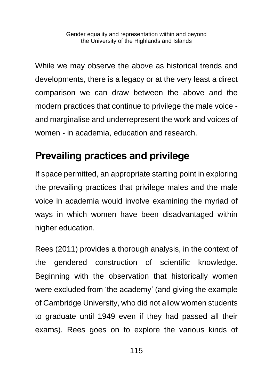While we may observe the above as historical trends and developments, there is a legacy or at the very least a direct comparison we can draw between the above and the modern practices that continue to privilege the male voice and marginalise and underrepresent the work and voices of women - in academia, education and research.

# **Prevailing practices and privilege**

If space permitted, an appropriate starting point in exploring the prevailing practices that privilege males and the male voice in academia would involve examining the myriad of ways in which women have been disadvantaged within higher education.

Rees (2011) provides a thorough analysis, in the context of the gendered construction of scientific knowledge. Beginning with the observation that historically women were excluded from 'the academy' (and giving the example of Cambridge University, who did not allow women students to graduate until 1949 even if they had passed all their exams), Rees goes on to explore the various kinds of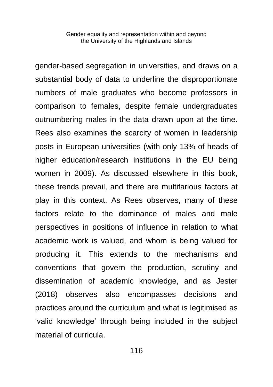gender-based segregation in universities, and draws on a substantial body of data to underline the disproportionate numbers of male graduates who become professors in comparison to females, despite female undergraduates outnumbering males in the data drawn upon at the time. Rees also examines the scarcity of women in leadership posts in European universities (with only 13% of heads of higher education/research institutions in the EU being women in 2009). As discussed elsewhere in this book, these trends prevail, and there are multifarious factors at play in this context. As Rees observes, many of these factors relate to the dominance of males and male perspectives in positions of influence in relation to what academic work is valued, and whom is being valued for producing it. This extends to the mechanisms and conventions that govern the production, scrutiny and dissemination of academic knowledge, and as Jester (2018) observes also encompasses decisions and practices around the curriculum and what is legitimised as 'valid knowledge' through being included in the subject material of curricula.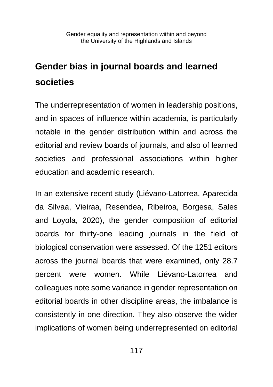# **Gender bias in journal boards and learned societies**

The underrepresentation of women in leadership positions, and in spaces of influence within academia, is particularly notable in the gender distribution within and across the editorial and review boards of journals, and also of learned societies and professional associations within higher education and academic research.

In an extensive recent study (Liévano-Latorrea, Aparecida da Silvaa, Vieiraa, Resendea, Ribeiroa, Borgesa, Sales and Loyola, 2020), the gender composition of editorial boards for thirty-one leading journals in the field of biological conservation were assessed. Of the 1251 editors across the journal boards that were examined, only 28.7 percent were women. While Liévano-Latorrea and colleagues note some variance in gender representation on editorial boards in other discipline areas, the imbalance is consistently in one direction. They also observe the wider implications of women being underrepresented on editorial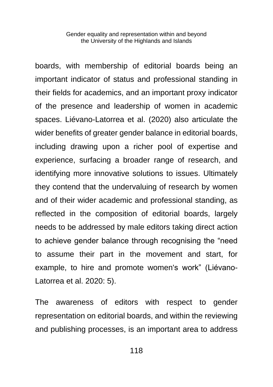boards, with membership of editorial boards being an important indicator of status and professional standing in their fields for academics, and an important proxy indicator of the presence and leadership of women in academic spaces. Liévano-Latorrea et al. (2020) also articulate the wider benefits of greater gender balance in editorial boards, including drawing upon a richer pool of expertise and experience, surfacing a broader range of research, and identifying more innovative solutions to issues. Ultimately they contend that the undervaluing of research by women and of their wider academic and professional standing, as reflected in the composition of editorial boards, largely needs to be addressed by male editors taking direct action to achieve gender balance through recognising the "need to assume their part in the movement and start, for example, to hire and promote women's work" (Liévano-Latorrea et al. 2020: 5).

The awareness of editors with respect to gender representation on editorial boards, and within the reviewing and publishing processes, is an important area to address

118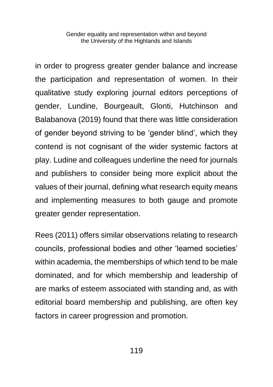in order to progress greater gender balance and increase the participation and representation of women. In their qualitative study exploring journal editors perceptions of gender, Lundine, Bourgeault, Glonti, Hutchinson and Balabanova (2019) found that there was little consideration of gender beyond striving to be 'gender blind', which they contend is not cognisant of the wider systemic factors at play. Ludine and colleagues underline the need for journals and publishers to consider being more explicit about the values of their journal, defining what research equity means and implementing measures to both gauge and promote greater gender representation.

Rees (2011) offers similar observations relating to research councils, professional bodies and other 'learned societies' within academia, the memberships of which tend to be male dominated, and for which membership and leadership of are marks of esteem associated with standing and, as with editorial board membership and publishing, are often key factors in career progression and promotion.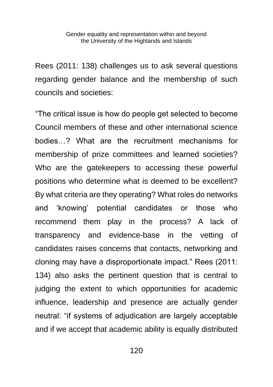Rees (2011: 138) challenges us to ask several questions regarding gender balance and the membership of such councils and societies:

"The critical issue is how do people get selected to become Council members of these and other international science bodies…? What are the recruitment mechanisms for membership of prize committees and learned societies? Who are the gatekeepers to accessing these powerful positions who determine what is deemed to be excellent? By what criteria are they operating? What roles do networks and 'knowing' potential candidates or those who recommend them play in the process? A lack of transparency and evidence-base in the vetting of candidates raises concerns that contacts, networking and cloning may have a disproportionate impact." Rees (2011: 134) also asks the pertinent question that is central to judging the extent to which opportunities for academic influence, leadership and presence are actually gender neutral: "if systems of adjudication are largely acceptable and if we accept that academic ability is equally distributed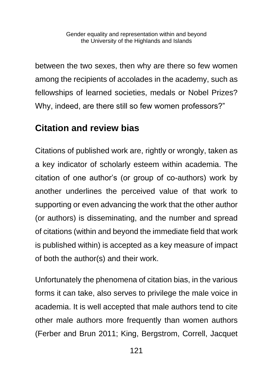between the two sexes, then why are there so few women among the recipients of accolades in the academy, such as fellowships of learned societies, medals or Nobel Prizes? Why, indeed, are there still so few women professors?"

#### **Citation and review bias**

Citations of published work are, rightly or wrongly, taken as a key indicator of scholarly esteem within academia. The citation of one author's (or group of co-authors) work by another underlines the perceived value of that work to supporting or even advancing the work that the other author (or authors) is disseminating, and the number and spread of citations (within and beyond the immediate field that work is published within) is accepted as a key measure of impact of both the author(s) and their work.

Unfortunately the phenomena of citation bias, in the various forms it can take, also serves to privilege the male voice in academia. It is well accepted that male authors tend to cite other male authors more frequently than women authors (Ferber and Brun 2011; King, Bergstrom, Correll, Jacquet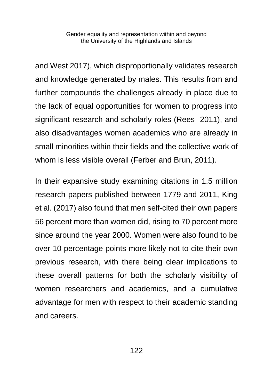and West 2017), which disproportionally validates research and knowledge generated by males. This results from and further compounds the challenges already in place due to the lack of equal opportunities for women to progress into significant research and scholarly roles (Rees 2011), and also disadvantages women academics who are already in small minorities within their fields and the collective work of whom is less visible overall (Ferber and Brun, 2011).

In their expansive study examining citations in 1.5 million research papers published between 1779 and 2011, King et al. (2017) also found that men self-cited their own papers 56 percent more than women did, rising to 70 percent more since around the year 2000. Women were also found to be over 10 percentage points more likely not to cite their own previous research, with there being clear implications to these overall patterns for both the scholarly visibility of women researchers and academics, and a cumulative advantage for men with respect to their academic standing and careers.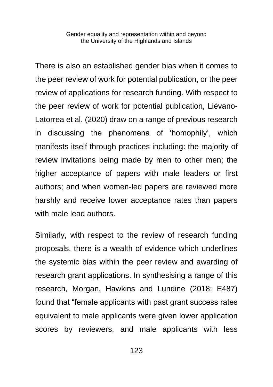There is also an established gender bias when it comes to the peer review of work for potential publication, or the peer review of applications for research funding. With respect to the peer review of work for potential publication, Liévano-Latorrea et al. (2020) draw on a range of previous research in discussing the phenomena of 'homophily', which manifests itself through practices including: the majority of review invitations being made by men to other men; the higher acceptance of papers with male leaders or first authors; and when women-led papers are reviewed more harshly and receive lower acceptance rates than papers with male lead authors.

Similarly, with respect to the review of research funding proposals, there is a wealth of evidence which underlines the systemic bias within the peer review and awarding of research grant applications. In synthesising a range of this research, Morgan, Hawkins and Lundine (2018: E487) found that "female applicants with past grant success rates equivalent to male applicants were given lower application scores by reviewers, and male applicants with less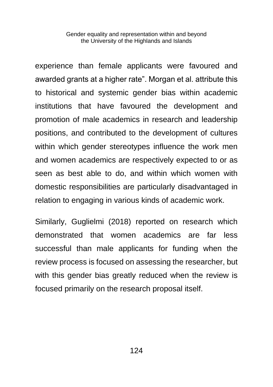experience than female applicants were favoured and awarded grants at a higher rate". Morgan et al. attribute this to historical and systemic gender bias within academic institutions that have favoured the development and promotion of male academics in research and leadership positions, and contributed to the development of cultures within which gender stereotypes influence the work men and women academics are respectively expected to or as seen as best able to do, and within which women with domestic responsibilities are particularly disadvantaged in relation to engaging in various kinds of academic work.

Similarly, Guglielmi (2018) reported on research which demonstrated that women academics are far less successful than male applicants for funding when the review process is focused on assessing the researcher, but with this gender bias greatly reduced when the review is focused primarily on the research proposal itself.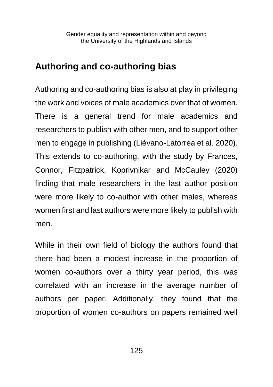#### **Authoring and co-authoring bias**

Authoring and co-authoring bias is also at play in privileging the work and voices of male academics over that of women. There is a general trend for male academics and researchers to publish with other men, and to support other men to engage in publishing (Liévano-Latorrea et al. 2020). This extends to co-authoring, with the study by Frances, Connor, Fitzpatrick, Koprivnikar and McCauley (2020) finding that male researchers in the last author position were more likely to co-author with other males, whereas women first and last authors were more likely to publish with men.

While in their own field of biology the authors found that there had been a modest increase in the proportion of women co-authors over a thirty year period, this was correlated with an increase in the average number of authors per paper. Additionally, they found that the proportion of women co-authors on papers remained well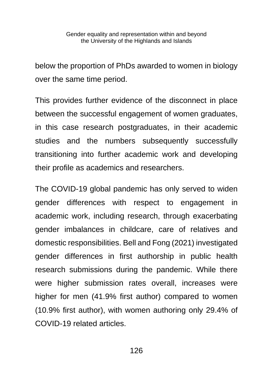below the proportion of PhDs awarded to women in biology over the same time period.

This provides further evidence of the disconnect in place between the successful engagement of women graduates, in this case research postgraduates, in their academic studies and the numbers subsequently successfully transitioning into further academic work and developing their profile as academics and researchers.

The COVID-19 global pandemic has only served to widen gender differences with respect to engagement in academic work, including research, through exacerbating gender imbalances in childcare, care of relatives and domestic responsibilities. Bell and Fong (2021) investigated gender differences in first authorship in public health research submissions during the pandemic. While there were higher submission rates overall, increases were higher for men (41.9% first author) compared to women (10.9% first author), with women authoring only 29.4% of COVID-19 related articles.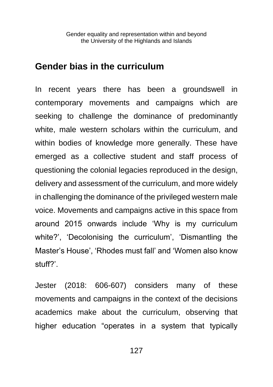#### **Gender bias in the curriculum**

In recent years there has been a groundswell in contemporary movements and campaigns which are seeking to challenge the dominance of predominantly white, male western scholars within the curriculum, and within bodies of knowledge more generally. These have emerged as a collective student and staff process of questioning the colonial legacies reproduced in the design, delivery and assessment of the curriculum, and more widely in challenging the dominance of the privileged western male voice. Movements and campaigns active in this space from around 2015 onwards include 'Why is my curriculum white?', 'Decolonising the curriculum', 'Dismantling the Master's House', 'Rhodes must fall' and 'Women also know stuff?'.

Jester (2018: 606-607) considers many of these movements and campaigns in the context of the decisions academics make about the curriculum, observing that higher education "operates in a system that typically

127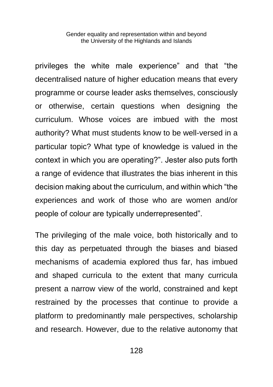privileges the white male experience" and that "the decentralised nature of higher education means that every programme or course leader asks themselves, consciously or otherwise, certain questions when designing the curriculum. Whose voices are imbued with the most authority? What must students know to be well-versed in a particular topic? What type of knowledge is valued in the context in which you are operating?". Jester also puts forth a range of evidence that illustrates the bias inherent in this decision making about the curriculum, and within which "the experiences and work of those who are women and/or people of colour are typically underrepresented".

The privileging of the male voice, both historically and to this day as perpetuated through the biases and biased mechanisms of academia explored thus far, has imbued and shaped curricula to the extent that many curricula present a narrow view of the world, constrained and kept restrained by the processes that continue to provide a platform to predominantly male perspectives, scholarship and research. However, due to the relative autonomy that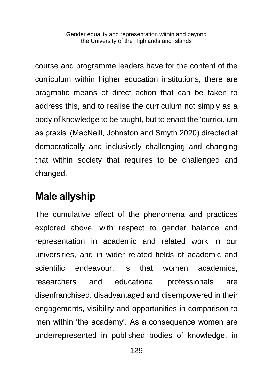course and programme leaders have for the content of the curriculum within higher education institutions, there are pragmatic means of direct action that can be taken to address this, and to realise the curriculum not simply as a body of knowledge to be taught, but to enact the 'curriculum as praxis' (MacNeill, Johnston and Smyth 2020) directed at democratically and inclusively challenging and changing that within society that requires to be challenged and changed.

#### **Male allyship**

The cumulative effect of the phenomena and practices explored above, with respect to gender balance and representation in academic and related work in our universities, and in wider related fields of academic and scientific endeavour, is that women academics, researchers and educational professionals are disenfranchised, disadvantaged and disempowered in their engagements, visibility and opportunities in comparison to men within 'the academy'. As a consequence women are underrepresented in published bodies of knowledge, in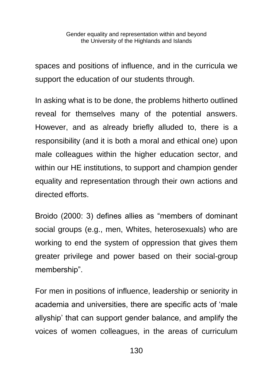spaces and positions of influence, and in the curricula we support the education of our students through.

In asking what is to be done, the problems hitherto outlined reveal for themselves many of the potential answers. However, and as already briefly alluded to, there is a responsibility (and it is both a moral and ethical one) upon male colleagues within the higher education sector, and within our HE institutions, to support and champion gender equality and representation through their own actions and directed efforts.

Broido (2000: 3) defines allies as "members of dominant social groups (e.g., men, Whites, heterosexuals) who are working to end the system of oppression that gives them greater privilege and power based on their social-group membership".

For men in positions of influence, leadership or seniority in academia and universities, there are specific acts of 'male allyship' that can support gender balance, and amplify the voices of women colleagues, in the areas of curriculum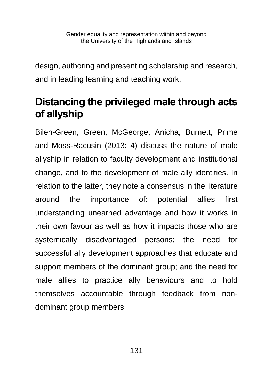design, authoring and presenting scholarship and research, and in leading learning and teaching work.

# **Distancing the privileged male through acts of allyship**

Bilen-Green, Green, McGeorge, Anicha, Burnett, Prime and Moss-Racusin (2013: 4) discuss the nature of male allyship in relation to faculty development and institutional change, and to the development of male ally identities. In relation to the latter, they note a consensus in the literature around the importance of: potential allies first understanding unearned advantage and how it works in their own favour as well as how it impacts those who are systemically disadvantaged persons; the need for successful ally development approaches that educate and support members of the dominant group; and the need for male allies to practice ally behaviours and to hold themselves accountable through feedback from nondominant group members.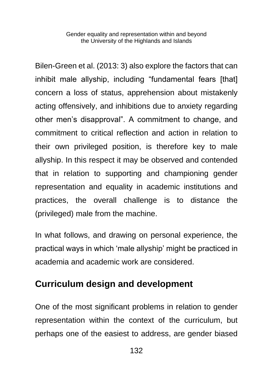Bilen-Green et al. (2013: 3) also explore the factors that can inhibit male allyship, including "fundamental fears [that] concern a loss of status, apprehension about mistakenly acting offensively, and inhibitions due to anxiety regarding other men's disapproval". A commitment to change, and commitment to critical reflection and action in relation to their own privileged position, is therefore key to male allyship. In this respect it may be observed and contended that in relation to supporting and championing gender representation and equality in academic institutions and practices, the overall challenge is to distance the (privileged) male from the machine.

In what follows, and drawing on personal experience, the practical ways in which 'male allyship' might be practiced in academia and academic work are considered.

#### **Curriculum design and development**

One of the most significant problems in relation to gender representation within the context of the curriculum, but perhaps one of the easiest to address, are gender biased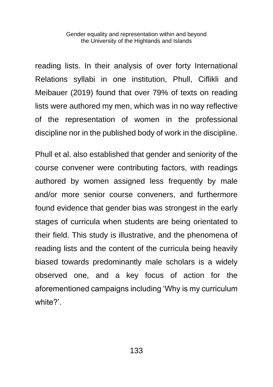reading lists. In their analysis of over forty International Relations syllabi in one institution, Phull, Ciflikli and Meibauer (2019) found that over 79% of texts on reading lists were authored my men, which was in no way reflective of the representation of women in the professional discipline nor in the published body of work in the discipline.

Phull et al. also established that gender and seniority of the course convener were contributing factors, with readings authored by women assigned less frequently by male and/or more senior course conveners, and furthermore found evidence that gender bias was strongest in the early stages of curricula when students are being orientated to their field. This study is illustrative, and the phenomena of reading lists and the content of the curricula being heavily biased towards predominantly male scholars is a widely observed one, and a key focus of action for the aforementioned campaigns including 'Why is my curriculum white?'.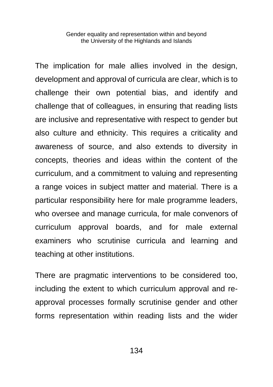The implication for male allies involved in the design, development and approval of curricula are clear, which is to challenge their own potential bias, and identify and challenge that of colleagues, in ensuring that reading lists are inclusive and representative with respect to gender but also culture and ethnicity. This requires a criticality and awareness of source, and also extends to diversity in concepts, theories and ideas within the content of the curriculum, and a commitment to valuing and representing a range voices in subject matter and material. There is a particular responsibility here for male programme leaders, who oversee and manage curricula, for male convenors of curriculum approval boards, and for male external examiners who scrutinise curricula and learning and teaching at other institutions.

There are pragmatic interventions to be considered too, including the extent to which curriculum approval and reapproval processes formally scrutinise gender and other forms representation within reading lists and the wider

134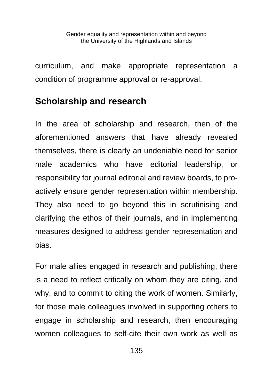curriculum, and make appropriate representation a condition of programme approval or re-approval.

#### **Scholarship and research**

In the area of scholarship and research, then of the aforementioned answers that have already revealed themselves, there is clearly an undeniable need for senior male academics who have editorial leadership, or responsibility for journal editorial and review boards, to proactively ensure gender representation within membership. They also need to go beyond this in scrutinising and clarifying the ethos of their journals, and in implementing measures designed to address gender representation and bias.

For male allies engaged in research and publishing, there is a need to reflect critically on whom they are citing, and why, and to commit to citing the work of women. Similarly, for those male colleagues involved in supporting others to engage in scholarship and research, then encouraging women colleagues to self-cite their own work as well as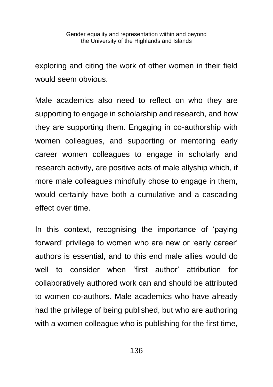exploring and citing the work of other women in their field would seem obvious.

Male academics also need to reflect on who they are supporting to engage in scholarship and research, and how they are supporting them. Engaging in co-authorship with women colleagues, and supporting or mentoring early career women colleagues to engage in scholarly and research activity, are positive acts of male allyship which, if more male colleagues mindfully chose to engage in them, would certainly have both a cumulative and a cascading effect over time.

In this context, recognising the importance of 'paying forward' privilege to women who are new or 'early career' authors is essential, and to this end male allies would do well to consider when 'first author' attribution for collaboratively authored work can and should be attributed to women co-authors. Male academics who have already had the privilege of being published, but who are authoring with a women colleague who is publishing for the first time,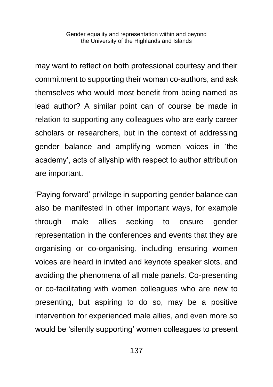may want to reflect on both professional courtesy and their commitment to supporting their woman co-authors, and ask themselves who would most benefit from being named as lead author? A similar point can of course be made in relation to supporting any colleagues who are early career scholars or researchers, but in the context of addressing gender balance and amplifying women voices in 'the academy', acts of allyship with respect to author attribution are important.

'Paying forward' privilege in supporting gender balance can also be manifested in other important ways, for example through male allies seeking to ensure gender representation in the conferences and events that they are organising or co-organising, including ensuring women voices are heard in invited and keynote speaker slots, and avoiding the phenomena of all male panels. Co-presenting or co-facilitating with women colleagues who are new to presenting, but aspiring to do so, may be a positive intervention for experienced male allies, and even more so would be 'silently supporting' women colleagues to present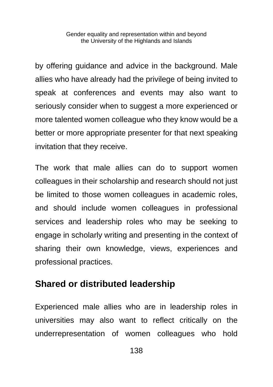by offering guidance and advice in the background. Male allies who have already had the privilege of being invited to speak at conferences and events may also want to seriously consider when to suggest a more experienced or more talented women colleague who they know would be a better or more appropriate presenter for that next speaking invitation that they receive.

The work that male allies can do to support women colleagues in their scholarship and research should not just be limited to those women colleagues in academic roles, and should include women colleagues in professional services and leadership roles who may be seeking to engage in scholarly writing and presenting in the context of sharing their own knowledge, views, experiences and professional practices.

#### **Shared or distributed leadership**

Experienced male allies who are in leadership roles in universities may also want to reflect critically on the underrepresentation of women colleagues who hold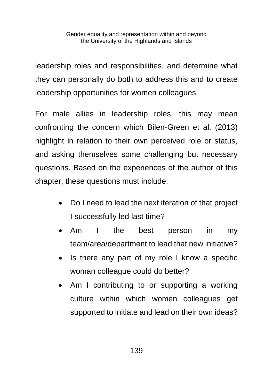leadership roles and responsibilities, and determine what they can personally do both to address this and to create leadership opportunities for women colleagues.

For male allies in leadership roles, this may mean confronting the concern which Bilen-Green et al. (2013) highlight in relation to their own perceived role or status, and asking themselves some challenging but necessary questions. Based on the experiences of the author of this chapter, these questions must include:

- Do I need to lead the next iteration of that project I successfully led last time?
- Am I the best person in my team/area/department to lead that new initiative?
- Is there any part of my role I know a specific woman colleague could do better?
- Am I contributing to or supporting a working culture within which women colleagues get supported to initiate and lead on their own ideas?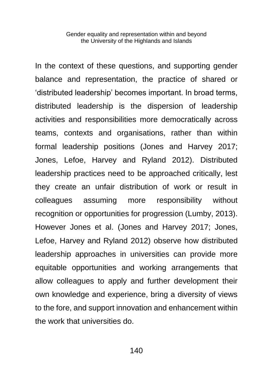In the context of these questions, and supporting gender balance and representation, the practice of shared or 'distributed leadership' becomes important. In broad terms, distributed leadership is the dispersion of leadership activities and responsibilities more democratically across teams, contexts and organisations, rather than within formal leadership positions (Jones and Harvey 2017; Jones, Lefoe, Harvey and Ryland 2012). Distributed leadership practices need to be approached critically, lest they create an unfair distribution of work or result in colleagues assuming more responsibility without recognition or opportunities for progression (Lumby, 2013). However Jones et al. (Jones and Harvey 2017; Jones, Lefoe, Harvey and Ryland 2012) observe how distributed leadership approaches in universities can provide more equitable opportunities and working arrangements that allow colleagues to apply and further development their own knowledge and experience, bring a diversity of views to the fore, and support innovation and enhancement within the work that universities do.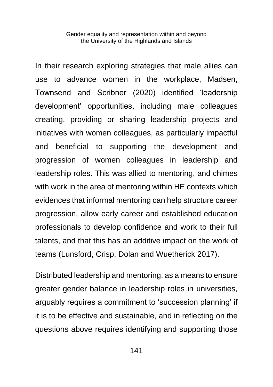In their research exploring strategies that male allies can use to advance women in the workplace, Madsen, Townsend and Scribner (2020) identified 'leadership development' opportunities, including male colleagues creating, providing or sharing leadership projects and initiatives with women colleagues, as particularly impactful and beneficial to supporting the development and progression of women colleagues in leadership and leadership roles. This was allied to mentoring, and chimes with work in the area of mentoring within HE contexts which evidences that informal mentoring can help structure career progression, allow early career and established education professionals to develop confidence and work to their full talents, and that this has an additive impact on the work of teams (Lunsford, Crisp, Dolan and Wuetherick 2017).

Distributed leadership and mentoring, as a means to ensure greater gender balance in leadership roles in universities, arguably requires a commitment to 'succession planning' if it is to be effective and sustainable, and in reflecting on the questions above requires identifying and supporting those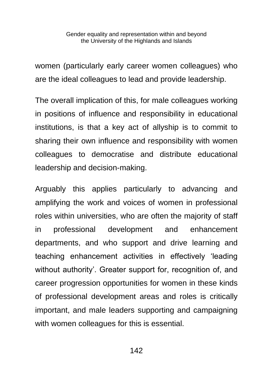women (particularly early career women colleagues) who are the ideal colleagues to lead and provide leadership.

The overall implication of this, for male colleagues working in positions of influence and responsibility in educational institutions, is that a key act of allyship is to commit to sharing their own influence and responsibility with women colleagues to democratise and distribute educational leadership and decision-making.

Arguably this applies particularly to advancing and amplifying the work and voices of women in professional roles within universities, who are often the majority of staff in professional development and enhancement departments, and who support and drive learning and teaching enhancement activities in effectively 'leading without authority'. Greater support for, recognition of, and career progression opportunities for women in these kinds of professional development areas and roles is critically important, and male leaders supporting and campaigning with women colleagues for this is essential.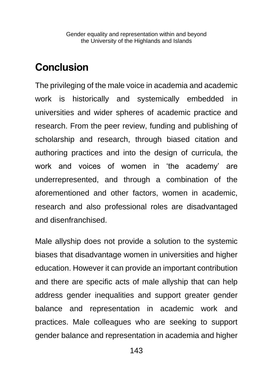## **Conclusion**

The privileging of the male voice in academia and academic work is historically and systemically embedded in universities and wider spheres of academic practice and research. From the peer review, funding and publishing of scholarship and research, through biased citation and authoring practices and into the design of curricula, the work and voices of women in 'the academy' are underrepresented, and through a combination of the aforementioned and other factors, women in academic, research and also professional roles are disadvantaged and disenfranchised.

Male allyship does not provide a solution to the systemic biases that disadvantage women in universities and higher education. However it can provide an important contribution and there are specific acts of male allyship that can help address gender inequalities and support greater gender balance and representation in academic work and practices. Male colleagues who are seeking to support gender balance and representation in academia and higher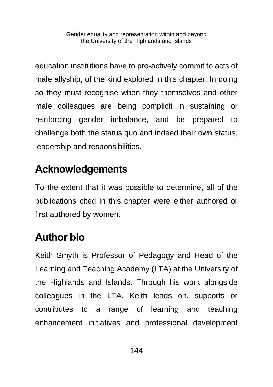education institutions have to pro-actively commit to acts of male allyship, of the kind explored in this chapter. In doing so they must recognise when they themselves and other male colleagues are being complicit in sustaining or reinforcing gender imbalance, and be prepared to challenge both the status quo and indeed their own status, leadership and responsibilities.

# **Acknowledgements**

To the extent that it was possible to determine, all of the publications cited in this chapter were either authored or first authored by women.

## **Author bio**

Keith Smyth is Professor of Pedagogy and Head of the Learning and Teaching Academy (LTA) at the University of the Highlands and Islands. Through his work alongside colleagues in the LTA, Keith leads on, supports or contributes to a range of learning and teaching enhancement initiatives and professional development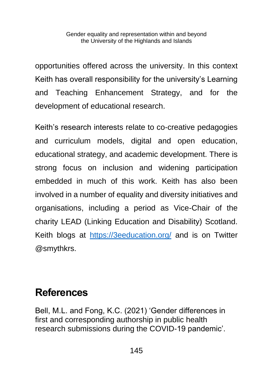opportunities offered across the university. In this context Keith has overall responsibility for the university's Learning and Teaching Enhancement Strategy, and for the development of educational research.

Keith's research interests relate to co-creative pedagogies and curriculum models, digital and open education, educational strategy, and academic development. There is strong focus on inclusion and widening participation embedded in much of this work. Keith has also been involved in a number of equality and diversity initiatives and organisations, including a period as Vice-Chair of the charity LEAD (Linking Education and Disability) Scotland. Keith blogs at <https://3eeducation.org/> and is on Twitter @smythkrs.

## **References**

Bell, M.L. and Fong, K.C. (2021) 'Gender differences in first and corresponding authorship in public health research submissions during the COVID-19 pandemic'.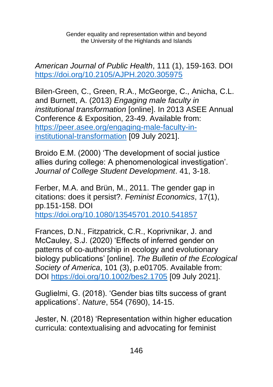*American Journal of Public Health*, 111 (1), 159-163. DOI <https://doi.org/10.2105/AJPH.2020.305975>

Bilen-Green, C., Green, R.A., McGeorge, C., Anicha, C.L. and Burnett, A. (2013) *Engaging male faculty in institutional transformation* [online]. In 2013 ASEE Annual Conference & Exposition, 23-49. Available from: [https://peer.asee.org/engaging-male-faculty-in](https://peer.asee.org/engaging-male-faculty-in-institutional-transformation)[institutional-transformation](https://peer.asee.org/engaging-male-faculty-in-institutional-transformation) [09 July 2021].

Broido E.M. (2000) 'The development of social justice allies during college: A phenomenological investigation'. *Journal of College Student Development*. 41, 3-18.

Ferber, M.A. and Brün, M., 2011. The gender gap in citations: does it persist?. *Feminist Economics*, 17(1), pp.151-158. DOI <https://doi.org/10.1080/13545701.2010.541857>

Frances, D.N., Fitzpatrick, C.R., Koprivnikar, J. and McCauley, S.J. (2020) 'Effects of inferred gender on patterns of co‐authorship in ecology and evolutionary biology publications' [online]. *The Bulletin of the Ecological Society of America*, 101 (3), p.e01705. Available from: DOI<https://doi.org/10.1002/bes2.1705> [09 July 2021].

Guglielmi, G. (2018). 'Gender bias tilts success of grant applications'. *Nature*, 554 (7690), 14-15.

Jester, N. (2018) 'Representation within higher education curricula: contextualising and advocating for feminist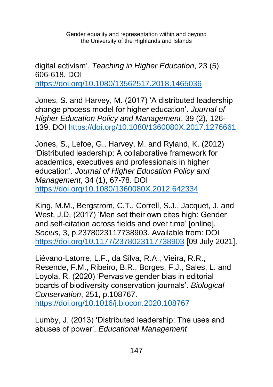digital activism'. *Teaching in Higher Education*, 23 (5), 606-618. DOI <https://doi.org/10.1080/13562517.2018.1465036>

Jones, S. and Harvey, M. (2017) 'A distributed leadership change process model for higher education'. *Journal of Higher Education Policy and Management*, 39 (2), 126- 139. DOI<https://doi.org/10.1080/1360080X.2017.1276661>

Jones, S., Lefoe, G., Harvey, M. and Ryland, K. (2012) 'Distributed leadership: A collaborative framework for academics, executives and professionals in higher education'. *Journal of Higher Education Policy and Management*, 34 (1), 67-78. DOI <https://doi.org/10.1080/1360080X.2012.642334>

King, M.M., Bergstrom, C.T., Correll, S.J., Jacquet, J. and West, J.D. (2017) 'Men set their own cites high: Gender and self-citation across fields and over time' [online]. *Socius*, 3, p.2378023117738903. Available from: DOI <https://doi.org/10.1177/2378023117738903> [09 July 2021].

Liévano-Latorre, L.F., da Silva, R.A., Vieira, R.R., Resende, F.M., Ribeiro, B.R., Borges, F.J., Sales, L. and Loyola, R. (2020) 'Pervasive gender bias in editorial boards of biodiversity conservation journals'. *Biological Conservation*, 251, p.108767.

<https://doi.org/10.1016/j.biocon.2020.108767>

Lumby, J. (2013) 'Distributed leadership: The uses and abuses of power'. *Educational Management*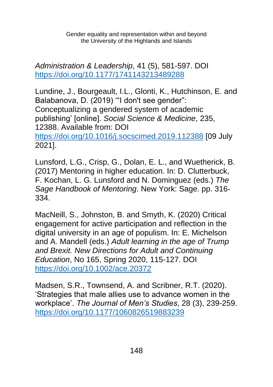*Administration & Leadership*, 41 (5), 581-597. DOI <https://doi.org/10.1177/1741143213489288>

Lundine, J., Bourgeault, I.L., Glonti, K., Hutchinson, E. and Balabanova, D. (2019) '"I don't see gender": Conceptualizing a gendered system of academic publishing' [online]. *Social Science & Medicine*, 235, 12388. Available from: DOI <https://doi.org/10.1016/j.socscimed.2019.112388> [09 July 2021].

Lunsford, L.G., Crisp, G., Dolan, E. L., and Wuetherick, B. (2017) Mentoring in higher education. In: D. Clutterbuck, F. Kochan, L. G. Lunsford and N. Dominguez (eds.) *The Sage Handbook of Mentoring*. New York: Sage. pp. 316- 334.

MacNeill, S., Johnston, B. and Smyth, K. (2020) Critical engagement for active participation and reflection in the digital university in an age of populism. In: E. Michelson and A. Mandell (eds.) *Adult learning in the age of Trump and Brexit. New Directions for Adult and Continuing Education*, No 165, Spring 2020, 115-127. DOI <https://doi.org/10.1002/ace.20372>

Madsen, S.R., Townsend, A. and Scribner, R.T. (2020). 'Strategies that male allies use to advance women in the workplace'. *The Journal of Men's Studies*, 28 (3), 239-259. <https://doi.org/10.1177/1060826519883239>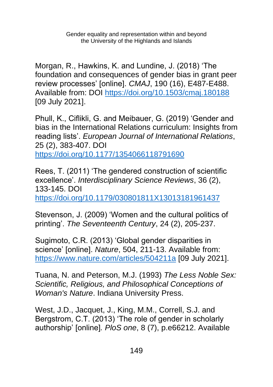Morgan, R., Hawkins, K. and Lundine, J. (2018) 'The foundation and consequences of gender bias in grant peer review processes' [online]. *CMAJ*, 190 (16), E487-E488. Available from: DOI<https://doi.org/10.1503/cmaj.180188> [09 July 2021].

Phull, K., Ciflikli, G. and Meibauer, G. (2019) 'Gender and bias in the International Relations curriculum: Insights from reading lists'. *European Journal of International Relations*, 25 (2), 383-407. DOI <https://doi.org/10.1177/1354066118791690>

Rees, T. (2011) 'The gendered construction of scientific excellence'. *Interdisciplinary Science Reviews*, 36 (2), 133-145. DOI

<https://doi.org/10.1179/030801811X13013181961437>

Stevenson, J. (2009) 'Women and the cultural politics of printing'. *The Seventeenth Century*, 24 (2), 205-237.

Sugimoto, C.R. (2013) 'Global gender disparities in science' [online]. *Nature*, 504, 211-13. Available from: <https://www.nature.com/articles/504211a> [09 July 2021].

Tuana, N. and Peterson, M.J. (1993) *The Less Noble Sex: Scientific, Religious, and Philosophical Conceptions of Woman's Nature*. Indiana University Press.

West, J.D., Jacquet, J., King, M.M., Correll, S.J. and Bergstrom, C.T. (2013) 'The role of gender in scholarly authorship' [online]*. PloS one*, 8 (7), p.e66212. Available